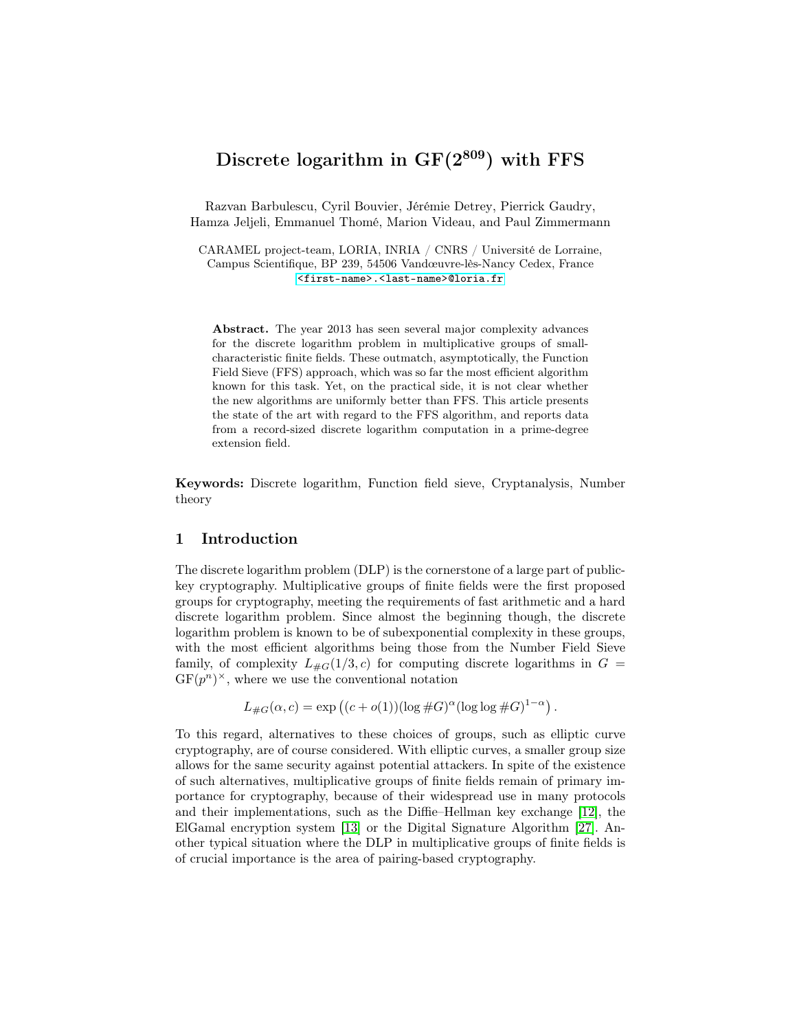# Discrete logarithm in  $GF(2^{809})$  with FFS

Razvan Barbulescu, Cyril Bouvier, Jérémie Detrey, Pierrick Gaudry, Hamza Jeljeli, Emmanuel Thomé, Marion Videau, and Paul Zimmermann

CARAMEL project-team, LORIA, INRIA / CNRS / Université de Lorraine, Campus Scientifique, BP 239, 54506 Vandœuvre-lès-Nancy Cedex, France <<first-name>.<last-name>@loria.fr>

Abstract. The year 2013 has seen several major complexity advances for the discrete logarithm problem in multiplicative groups of smallcharacteristic finite fields. These outmatch, asymptotically, the Function Field Sieve (FFS) approach, which was so far the most efficient algorithm known for this task. Yet, on the practical side, it is not clear whether the new algorithms are uniformly better than FFS. This article presents the state of the art with regard to the FFS algorithm, and reports data from a record-sized discrete logarithm computation in a prime-degree extension field.

Keywords: Discrete logarithm, Function field sieve, Cryptanalysis, Number theory

# 1 Introduction

The discrete logarithm problem (DLP) is the cornerstone of a large part of publickey cryptography. Multiplicative groups of finite fields were the first proposed groups for cryptography, meeting the requirements of fast arithmetic and a hard discrete logarithm problem. Since almost the beginning though, the discrete logarithm problem is known to be of subexponential complexity in these groups, with the most efficient algorithms being those from the Number Field Sieve family, of complexity  $L_{\#G}(1/3, c)$  for computing discrete logarithms in  $G =$  $GF(p^n)^{\times}$ , where we use the conventional notation

$$
L_{\#G}(\alpha, c) = \exp\left((c + o(1))(\log \#G)^{\alpha}(\log \log \#G)^{1-\alpha}\right).
$$

To this regard, alternatives to these choices of groups, such as elliptic curve cryptography, are of course considered. With elliptic curves, a smaller group size allows for the same security against potential attackers. In spite of the existence of such alternatives, multiplicative groups of finite fields remain of primary importance for cryptography, because of their widespread use in many protocols and their implementations, such as the Diffie–Hellman key exchange [\[12\]](#page-16-0), the ElGamal encryption system [\[13\]](#page-16-1) or the Digital Signature Algorithm [\[27\]](#page-17-0). Another typical situation where the DLP in multiplicative groups of finite fields is of crucial importance is the area of pairing-based cryptography.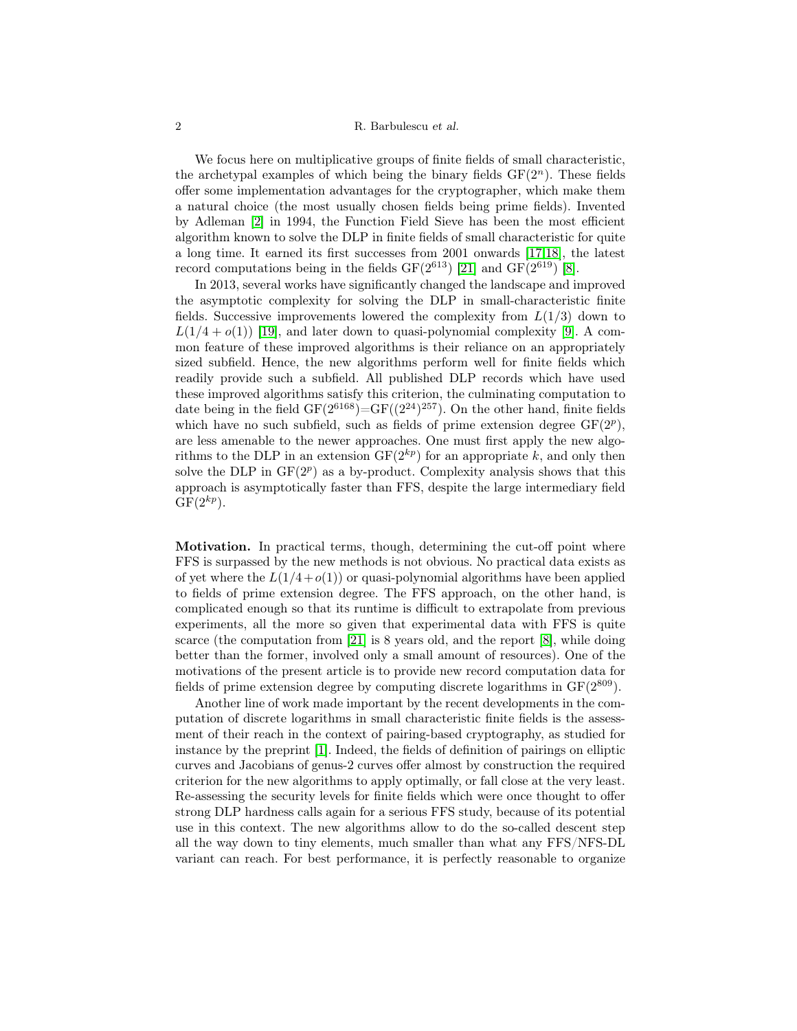### 2 R. Barbulescu et al.

We focus here on multiplicative groups of finite fields of small characteristic, the archetypal examples of which being the binary fields  $GF(2<sup>n</sup>)$ . These fields offer some implementation advantages for the cryptographer, which make them a natural choice (the most usually chosen fields being prime fields). Invented by Adleman [\[2\]](#page-15-0) in 1994, the Function Field Sieve has been the most efficient algorithm known to solve the DLP in finite fields of small characteristic for quite a long time. It earned its first successes from 2001 onwards [\[17](#page-16-2)[,18\]](#page-16-3), the latest record computations being in the fields  $GF(2^{613})$  [\[21\]](#page-16-4) and  $GF(2^{619})$  [\[8\]](#page-16-5).

In 2013, several works have significantly changed the landscape and improved the asymptotic complexity for solving the DLP in small-characteristic finite fields. Successive improvements lowered the complexity from  $L(1/3)$  down to  $L(1/4 + o(1))$  [\[19\]](#page-16-6), and later down to quasi-polynomial complexity [\[9\]](#page-16-7). A common feature of these improved algorithms is their reliance on an appropriately sized subfield. Hence, the new algorithms perform well for finite fields which readily provide such a subfield. All published DLP records which have used these improved algorithms satisfy this criterion, the culminating computation to date being in the field  $GF(2^{6168}) = GF((2^{24})^{257})$ . On the other hand, finite fields which have no such subfield, such as fields of prime extension degree  $GF(2^p)$ , are less amenable to the newer approaches. One must first apply the new algorithms to the DLP in an extension  $GF(2^{kp})$  for an appropriate k, and only then solve the DLP in  $GF(2^p)$  as a by-product. Complexity analysis shows that this approach is asymptotically faster than FFS, despite the large intermediary field  $GF(2<sup>kp</sup>)$ .

Motivation. In practical terms, though, determining the cut-off point where FFS is surpassed by the new methods is not obvious. No practical data exists as of yet where the  $L(1/4+o(1))$  or quasi-polynomial algorithms have been applied to fields of prime extension degree. The FFS approach, on the other hand, is complicated enough so that its runtime is difficult to extrapolate from previous experiments, all the more so given that experimental data with FFS is quite scarce (the computation from [\[21\]](#page-16-4) is 8 years old, and the report [\[8\]](#page-16-5), while doing better than the former, involved only a small amount of resources). One of the motivations of the present article is to provide new record computation data for fields of prime extension degree by computing discrete logarithms in  $GF(2^{809})$ .

Another line of work made important by the recent developments in the computation of discrete logarithms in small characteristic finite fields is the assessment of their reach in the context of pairing-based cryptography, as studied for instance by the preprint [\[1\]](#page-15-1). Indeed, the fields of definition of pairings on elliptic curves and Jacobians of genus-2 curves offer almost by construction the required criterion for the new algorithms to apply optimally, or fall close at the very least. Re-assessing the security levels for finite fields which were once thought to offer strong DLP hardness calls again for a serious FFS study, because of its potential use in this context. The new algorithms allow to do the so-called descent step all the way down to tiny elements, much smaller than what any FFS/NFS-DL variant can reach. For best performance, it is perfectly reasonable to organize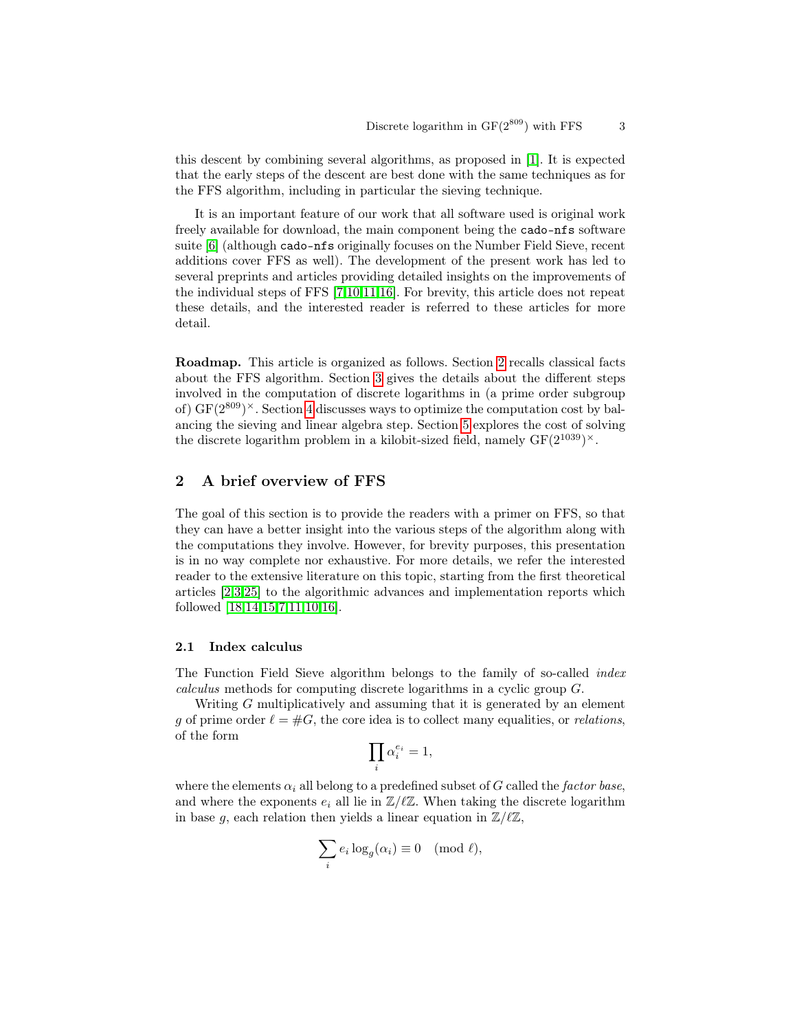this descent by combining several algorithms, as proposed in [\[1\]](#page-15-1). It is expected that the early steps of the descent are best done with the same techniques as for the FFS algorithm, including in particular the sieving technique.

It is an important feature of our work that all software used is original work freely available for download, the main component being the cado-nfs software suite [\[6\]](#page-16-8) (although cado-nfs originally focuses on the Number Field Sieve, recent additions cover FFS as well). The development of the present work has led to several preprints and articles providing detailed insights on the improvements of the individual steps of FFS [\[7,](#page-16-9)[10](#page-16-10)[,11,](#page-16-11)[16\]](#page-16-12). For brevity, this article does not repeat these details, and the interested reader is referred to these articles for more detail.

Roadmap. This article is organized as follows. Section [2](#page-2-0) recalls classical facts about the FFS algorithm. Section [3](#page-5-0) gives the details about the different steps involved in the computation of discrete logarithms in (a prime order subgroup of)  $GF(2^{809})^{\times}$ . Section [4](#page-12-0) discusses ways to optimize the computation cost by balancing the sieving and linear algebra step. Section [5](#page-13-0) explores the cost of solving the discrete logarithm problem in a kilobit-sized field, namely  $GF(2^{1039})^{\times}$ .

# <span id="page-2-0"></span>2 A brief overview of FFS

The goal of this section is to provide the readers with a primer on FFS, so that they can have a better insight into the various steps of the algorithm along with the computations they involve. However, for brevity purposes, this presentation is in no way complete nor exhaustive. For more details, we refer the interested reader to the extensive literature on this topic, starting from the first theoretical articles [\[2](#page-15-0)[,3,](#page-15-2)[25\]](#page-17-1) to the algorithmic advances and implementation reports which followed [\[18,](#page-16-3)[14,](#page-16-13)[15](#page-16-14)[,7,](#page-16-9)[11,](#page-16-11)[10,](#page-16-10)[16\]](#page-16-12).

## 2.1 Index calculus

The Function Field Sieve algorithm belongs to the family of so-called index calculus methods for computing discrete logarithms in a cyclic group G.

Writing G multiplicatively and assuming that it is generated by an element g of prime order  $\ell = \#G$ , the core idea is to collect many equalities, or relations, of the form

$$
\prod_i \alpha_i^{e_i}=1,
$$

where the elements  $\alpha_i$  all belong to a predefined subset of G called the factor base, and where the exponents  $e_i$  all lie in  $\mathbb{Z}/\ell\mathbb{Z}$ . When taking the discrete logarithm in base g, each relation then yields a linear equation in  $\mathbb{Z}/\ell\mathbb{Z}$ ,

$$
\sum_i e_i \log_g(\alpha_i) \equiv 0 \pmod{\ell},
$$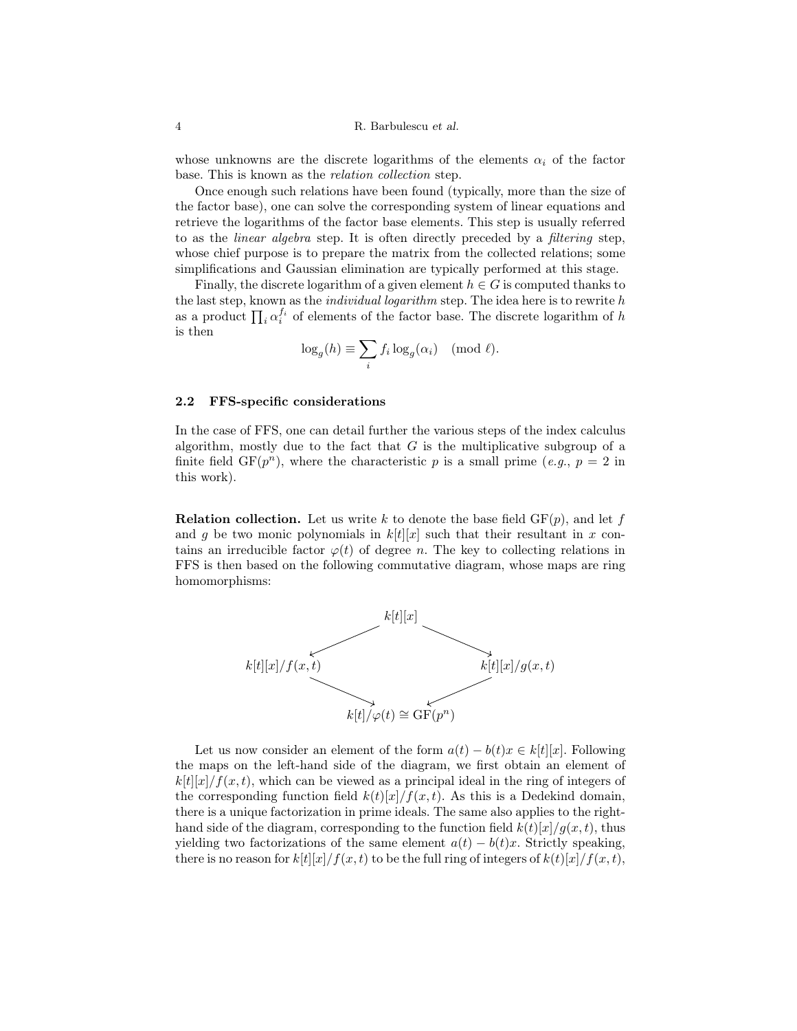whose unknowns are the discrete logarithms of the elements  $\alpha_i$  of the factor base. This is known as the relation collection step.

Once enough such relations have been found (typically, more than the size of the factor base), one can solve the corresponding system of linear equations and retrieve the logarithms of the factor base elements. This step is usually referred to as the linear algebra step. It is often directly preceded by a filtering step, whose chief purpose is to prepare the matrix from the collected relations; some simplifications and Gaussian elimination are typically performed at this stage.

Finally, the discrete logarithm of a given element  $h \in G$  is computed thanks to the last step, known as the *individual logarithm* step. The idea here is to rewrite  $h$ as a product  $\prod_i \alpha_i^{f_i}$  of elements of the factor base. The discrete logarithm of h is then

$$
\log_g(h) \equiv \sum_i f_i \log_g(\alpha_i) \pmod{\ell}.
$$

### <span id="page-3-0"></span>2.2 FFS-specific considerations

In the case of FFS, one can detail further the various steps of the index calculus algorithm, mostly due to the fact that  $G$  is the multiplicative subgroup of a finite field  $GF(p^n)$ , where the characteristic p is a small prime (e.g.,  $p = 2$  in this work).

**Relation collection.** Let us write k to denote the base field  $GF(p)$ , and let f and g be two monic polynomials in  $k[t][x]$  such that their resultant in x contains an irreducible factor  $\varphi(t)$  of degree n. The key to collecting relations in FFS is then based on the following commutative diagram, whose maps are ring homomorphisms:



Let us now consider an element of the form  $a(t) - b(t)x \in k[t][x]$ . Following the maps on the left-hand side of the diagram, we first obtain an element of  $k[t][x]/f(x, t)$ , which can be viewed as a principal ideal in the ring of integers of the corresponding function field  $k(t)[x]/f(x,t)$ . As this is a Dedekind domain, there is a unique factorization in prime ideals. The same also applies to the righthand side of the diagram, corresponding to the function field  $k(t)[x]/q(x,t)$ , thus yielding two factorizations of the same element  $a(t) - b(t)x$ . Strictly speaking, there is no reason for  $k[t][x]/f(x, t)$  to be the full ring of integers of  $k(t)[x]/f(x, t)$ ,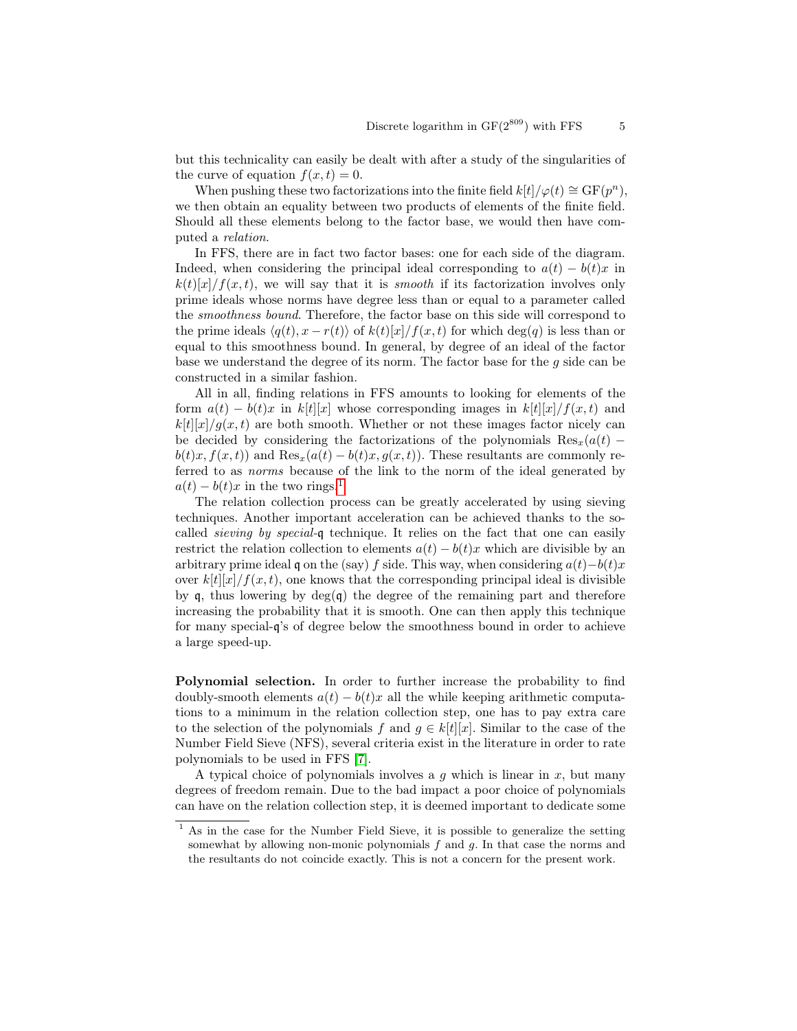but this technicality can easily be dealt with after a study of the singularities of the curve of equation  $f(x, t) = 0$ .

When pushing these two factorizations into the finite field  $k[t]/\varphi(t) \cong \mathrm{GF}(p^n)$ , we then obtain an equality between two products of elements of the finite field. Should all these elements belong to the factor base, we would then have computed a relation.

In FFS, there are in fact two factor bases: one for each side of the diagram. Indeed, when considering the principal ideal corresponding to  $a(t) - b(t)x$  in  $k(t)[x]/f(x, t)$ , we will say that it is *smooth* if its factorization involves only prime ideals whose norms have degree less than or equal to a parameter called the smoothness bound. Therefore, the factor base on this side will correspond to the prime ideals  $\langle q(t), x - r(t) \rangle$  of  $k(t)[x]/f(x, t)$  for which deg(q) is less than or equal to this smoothness bound. In general, by degree of an ideal of the factor base we understand the degree of its norm. The factor base for the  $g$  side can be constructed in a similar fashion.

All in all, finding relations in FFS amounts to looking for elements of the form  $a(t) - b(t)x$  in k[t][x] whose corresponding images in k[t][x]/f(x,t) and  $k[t][x]/q(x,t)$  are both smooth. Whether or not these images factor nicely can be decided by considering the factorizations of the polynomials  $\text{Res}_{x}(a(t)$  $b(t)x, f(x,t)$  and  $\text{Res}_x(a(t) - b(t)x, g(x,t))$ . These resultants are commonly referred to as norms because of the link to the norm of the ideal generated by  $a(t) - b(t)x$  in the two rings.<sup>[1](#page-4-0)</sup>

The relation collection process can be greatly accelerated by using sieving techniques. Another important acceleration can be achieved thanks to the socalled sieving by special-q technique. It relies on the fact that one can easily restrict the relation collection to elements  $a(t) - b(t)x$  which are divisible by an arbitrary prime ideal q on the (say) f side. This way, when considering  $a(t)-b(t)x$ over  $k[t][x]/f(x, t)$ , one knows that the corresponding principal ideal is divisible by q, thus lowering by  $deg(q)$  the degree of the remaining part and therefore increasing the probability that it is smooth. One can then apply this technique for many special-q's of degree below the smoothness bound in order to achieve a large speed-up.

Polynomial selection. In order to further increase the probability to find doubly-smooth elements  $a(t) - b(t)x$  all the while keeping arithmetic computations to a minimum in the relation collection step, one has to pay extra care to the selection of the polynomials f and  $q \in k[t][x]$ . Similar to the case of the Number Field Sieve (NFS), several criteria exist in the literature in order to rate polynomials to be used in FFS [\[7\]](#page-16-9).

A typical choice of polynomials involves a  $q$  which is linear in  $x$ , but many degrees of freedom remain. Due to the bad impact a poor choice of polynomials can have on the relation collection step, it is deemed important to dedicate some

<span id="page-4-0"></span><sup>1</sup> As in the case for the Number Field Sieve, it is possible to generalize the setting somewhat by allowing non-monic polynomials  $f$  and  $g$ . In that case the norms and the resultants do not coincide exactly. This is not a concern for the present work.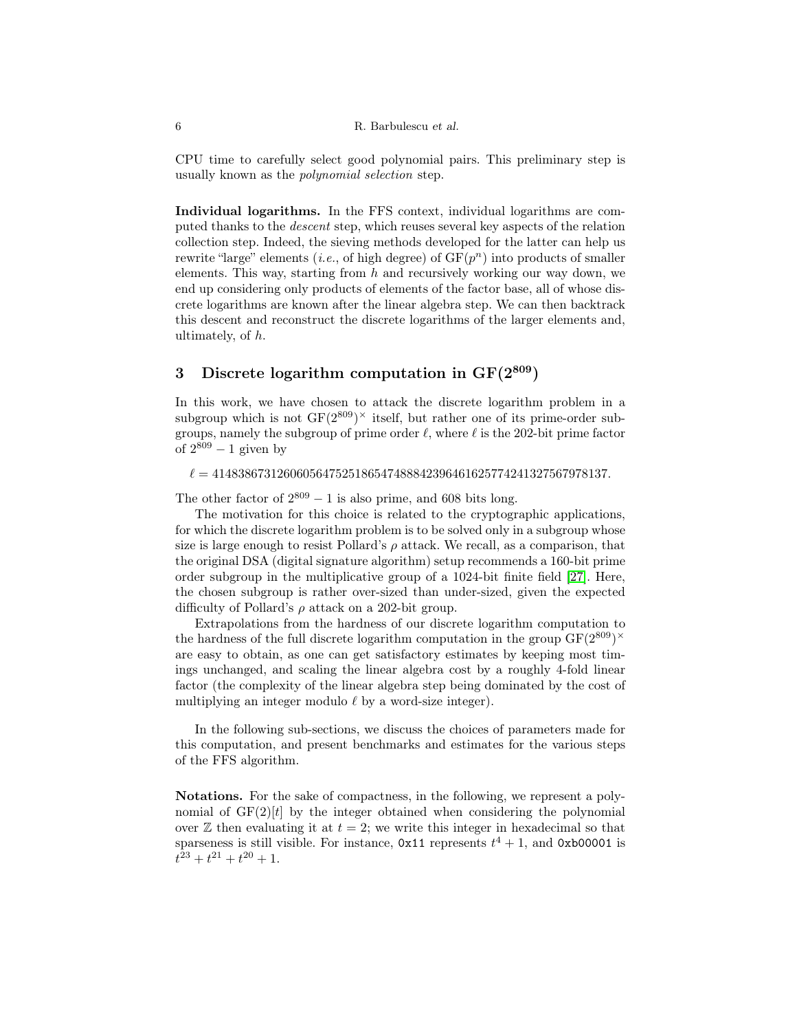CPU time to carefully select good polynomial pairs. This preliminary step is usually known as the polynomial selection step.

Individual logarithms. In the FFS context, individual logarithms are computed thanks to the descent step, which reuses several key aspects of the relation collection step. Indeed, the sieving methods developed for the latter can help us rewrite "large" elements (*i.e.*, of high degree) of  $GF(p^n)$  into products of smaller elements. This way, starting from  $h$  and recursively working our way down, we end up considering only products of elements of the factor base, all of whose discrete logarithms are known after the linear algebra step. We can then backtrack this descent and reconstruct the discrete logarithms of the larger elements and, ultimately, of h.

# <span id="page-5-0"></span>3 Discrete logarithm computation in  $GF(2^{809})$

In this work, we have chosen to attack the discrete logarithm problem in a subgroup which is not  $GF(2^{809})^{\times}$  itself, but rather one of its prime-order subgroups, namely the subgroup of prime order  $\ell$ , where  $\ell$  is the 202-bit prime factor of  $2^{809} - 1$  given by

## $\ell = 4148386731260605647525186547488842396461625774241327567978137.$

The other factor of  $2^{809} - 1$  is also prime, and 608 bits long.

The motivation for this choice is related to the cryptographic applications, for which the discrete logarithm problem is to be solved only in a subgroup whose size is large enough to resist Pollard's  $\rho$  attack. We recall, as a comparison, that the original DSA (digital signature algorithm) setup recommends a 160-bit prime order subgroup in the multiplicative group of a 1024-bit finite field [\[27\]](#page-17-0). Here, the chosen subgroup is rather over-sized than under-sized, given the expected difficulty of Pollard's  $\rho$  attack on a 202-bit group.

Extrapolations from the hardness of our discrete logarithm computation to the hardness of the full discrete logarithm computation in the group  $GF(2^{809})^{\times}$ are easy to obtain, as one can get satisfactory estimates by keeping most timings unchanged, and scaling the linear algebra cost by a roughly 4-fold linear factor (the complexity of the linear algebra step being dominated by the cost of multiplying an integer modulo  $\ell$  by a word-size integer).

In the following sub-sections, we discuss the choices of parameters made for this computation, and present benchmarks and estimates for the various steps of the FFS algorithm.

Notations. For the sake of compactness, in the following, we represent a polynomial of  $GF(2)[t]$  by the integer obtained when considering the polynomial over  $\mathbb Z$  then evaluating it at  $t = 2$ ; we write this integer in hexadecimal so that sparseness is still visible. For instance,  $0x11$  represents  $t^4 + 1$ , and  $0xb00001$  is  $t^{23} + t^{21} + t^{20} + 1.$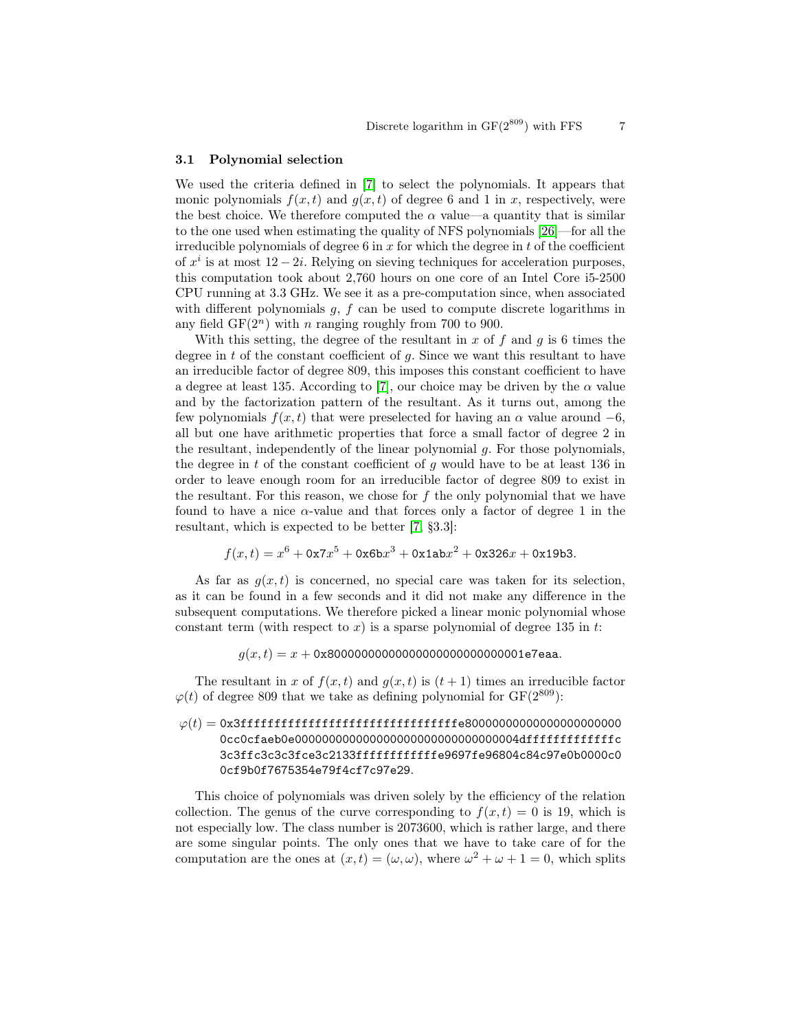#### 3.1 Polynomial selection

We used the criteria defined in [\[7\]](#page-16-9) to select the polynomials. It appears that monic polynomials  $f(x, t)$  and  $g(x, t)$  of degree 6 and 1 in x, respectively, were the best choice. We therefore computed the  $\alpha$  value—a quantity that is similar to the one used when estimating the quality of NFS polynomials [\[26\]](#page-17-2)—for all the irreducible polynomials of degree 6 in  $x$  for which the degree in  $t$  of the coefficient of  $x^i$  is at most  $12 - 2i$ . Relying on sieving techniques for acceleration purposes, this computation took about 2,760 hours on one core of an Intel Core i5-2500 CPU running at 3.3 GHz. We see it as a pre-computation since, when associated with different polynomials  $g, f$  can be used to compute discrete logarithms in any field  $GF(2^n)$  with *n* ranging roughly from 700 to 900.

With this setting, the degree of the resultant in x of f and q is 6 times the degree in  $t$  of the constant coefficient of  $q$ . Since we want this resultant to have an irreducible factor of degree 809, this imposes this constant coefficient to have a degree at least 135. According to [\[7\]](#page-16-9), our choice may be driven by the  $\alpha$  value and by the factorization pattern of the resultant. As it turns out, among the few polynomials  $f(x, t)$  that were preselected for having an  $\alpha$  value around  $-6$ , all but one have arithmetic properties that force a small factor of degree 2 in the resultant, independently of the linear polynomial g. For those polynomials, the degree in  $t$  of the constant coefficient of  $g$  would have to be at least 136 in order to leave enough room for an irreducible factor of degree 809 to exist in the resultant. For this reason, we chose for  $f$  the only polynomial that we have found to have a nice  $\alpha$ -value and that forces only a factor of degree 1 in the resultant, which is expected to be better [\[7,](#page-16-9) §3.3]:

$$
f(x,t) = x^6 + 0x7x^5 + 0x6bx^3 + 0x1abx^2 + 0x326x + 0x19b3.
$$

As far as  $g(x, t)$  is concerned, no special care was taken for its selection, as it can be found in a few seconds and it did not make any difference in the subsequent computations. We therefore picked a linear monic polynomial whose constant term (with respect to  $x$ ) is a sparse polynomial of degree 135 in  $t$ :

 $q(x,t) = x + 0x8000000000000000000000000000001e7e$ aa.

The resultant in x of  $f(x, t)$  and  $g(x, t)$  is  $(t + 1)$  times an irreducible factor  $\varphi(t)$  of degree 809 that we take as defining polynomial for GF(2<sup>809</sup>):

# ϕ(t) = 0x3ffffffffffffffffffffffffffffffffe80000000000000000000000 0cc0cfaeb0e000000000000000000000000000000004dfffffffffffffc 3c3ffc3c3c3fce3c2133ffffffffffffe9697fe96804c84c97e0b0000c0 0cf9b0f7675354e79f4cf7c97e29.

This choice of polynomials was driven solely by the efficiency of the relation collection. The genus of the curve corresponding to  $f(x, t) = 0$  is 19, which is not especially low. The class number is 2073600, which is rather large, and there are some singular points. The only ones that we have to take care of for the computation are the ones at  $(x,t) = (\omega, \omega)$ , where  $\omega^2 + \omega + 1 = 0$ , which splits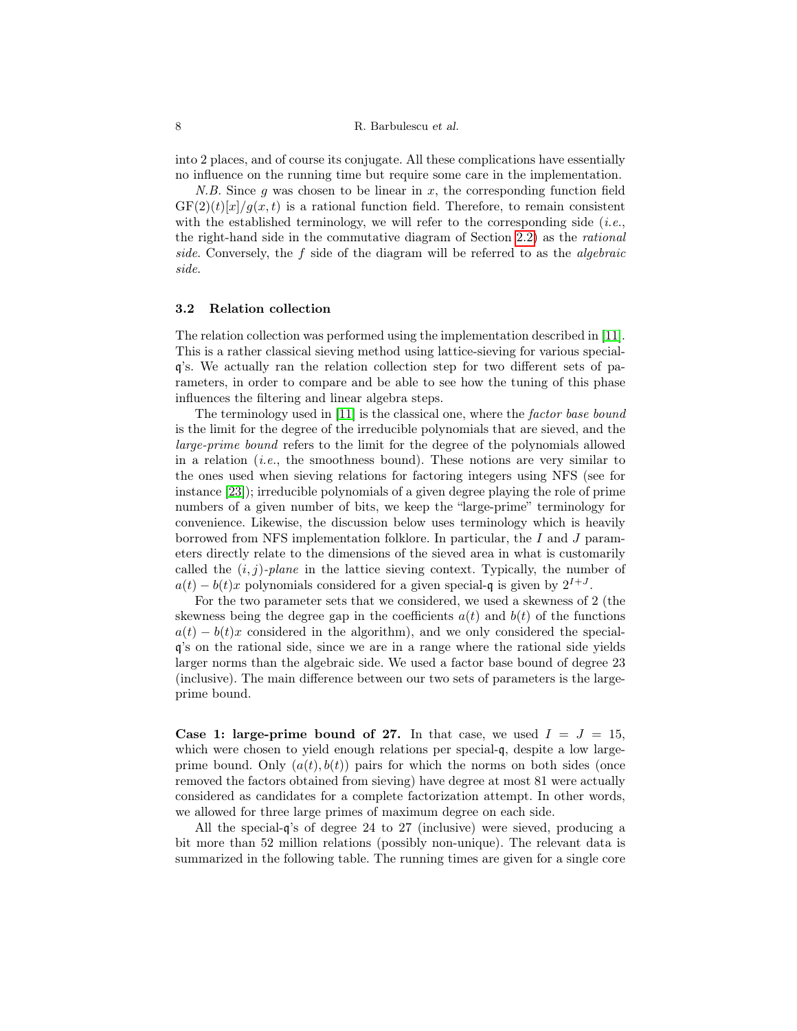into 2 places, and of course its conjugate. All these complications have essentially no influence on the running time but require some care in the implementation.

N.B. Since g was chosen to be linear in  $x$ , the corresponding function field  $GF(2)(t)[x]/g(x,t)$  is a rational function field. Therefore, to remain consistent with the established terminology, we will refer to the corresponding side  $(i.e.,$ the right-hand side in the commutative diagram of Section [2.2\)](#page-3-0) as the rational side. Conversely, the f side of the diagram will be referred to as the algebraic side.

## 3.2 Relation collection

The relation collection was performed using the implementation described in [\[11\]](#page-16-11). This is a rather classical sieving method using lattice-sieving for various specialq's. We actually ran the relation collection step for two different sets of parameters, in order to compare and be able to see how the tuning of this phase influences the filtering and linear algebra steps.

The terminology used in [\[11\]](#page-16-11) is the classical one, where the factor base bound is the limit for the degree of the irreducible polynomials that are sieved, and the large-prime bound refers to the limit for the degree of the polynomials allowed in a relation (*i.e.*, the smoothness bound). These notions are very similar to the ones used when sieving relations for factoring integers using NFS (see for instance [\[23\]](#page-17-3)); irreducible polynomials of a given degree playing the role of prime numbers of a given number of bits, we keep the "large-prime" terminology for convenience. Likewise, the discussion below uses terminology which is heavily borrowed from NFS implementation folklore. In particular, the I and J parameters directly relate to the dimensions of the sieved area in what is customarily called the  $(i, j)$ -plane in the lattice sieving context. Typically, the number of  $a(t) - b(t)x$  polynomials considered for a given special-q is given by  $2^{I+J}$ .

For the two parameter sets that we considered, we used a skewness of 2 (the skewness being the degree gap in the coefficients  $a(t)$  and  $b(t)$  of the functions  $a(t) - b(t)x$  considered in the algorithm), and we only considered the specialq's on the rational side, since we are in a range where the rational side yields larger norms than the algebraic side. We used a factor base bound of degree 23 (inclusive). The main difference between our two sets of parameters is the largeprime bound.

Case 1: large-prime bound of 27. In that case, we used  $I = J = 15$ , which were chosen to yield enough relations per special-q, despite a low largeprime bound. Only  $(a(t), b(t))$  pairs for which the norms on both sides (once removed the factors obtained from sieving) have degree at most 81 were actually considered as candidates for a complete factorization attempt. In other words, we allowed for three large primes of maximum degree on each side.

All the special-q's of degree 24 to 27 (inclusive) were sieved, producing a bit more than 52 million relations (possibly non-unique). The relevant data is summarized in the following table. The running times are given for a single core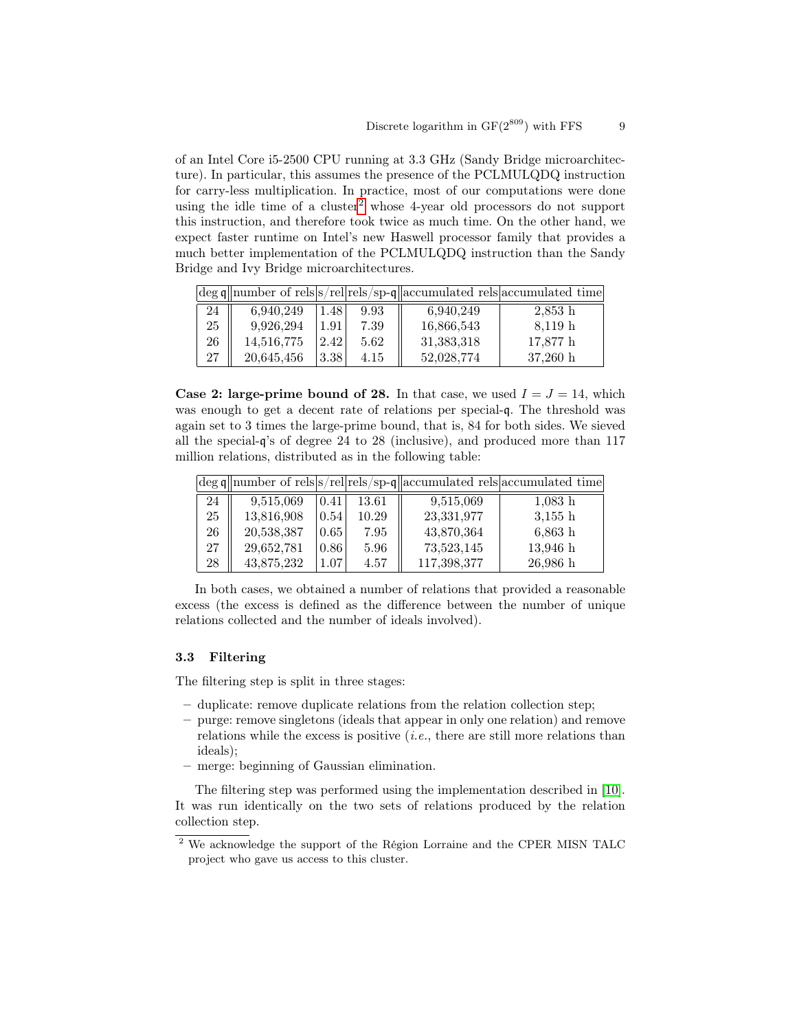of an Intel Core i5-2500 CPU running at 3.3 GHz (Sandy Bridge microarchitecture). In particular, this assumes the presence of the PCLMULQDQ instruction for carry-less multiplication. In practice, most of our computations were done using the idle time of a cluster<sup>[2](#page-8-0)</sup> whose 4-year old processors do not support this instruction, and therefore took twice as much time. On the other hand, we expect faster runtime on Intel's new Haswell processor family that provides a much better implementation of the PCLMULQDQ instruction than the Sandy Bridge and Ivy Bridge microarchitectures.

|    |            |      |      |            | $ \text{deg } q $ number of rels s/rel rels/sp-q  accumulated rels  accumulated time |
|----|------------|------|------|------------|--------------------------------------------------------------------------------------|
| 24 | 6.940.249  | 1.48 | 9.93 | 6.940.249  | $2,853$ h                                                                            |
| 25 | 9,926,294  | 1.91 | 7.39 | 16,866,543 | 8,119 h                                                                              |
| 26 | 14,516,775 | 2.42 | 5.62 | 31,383,318 | 17,877 h                                                                             |
| 27 | 20,645,456 | 3.38 | 4.15 | 52,028,774 | $37,260 \; h$                                                                        |

Case 2: large-prime bound of 28. In that case, we used  $I = J = 14$ , which was enough to get a decent rate of relations per special-q. The threshold was again set to 3 times the large-prime bound, that is, 84 for both sides. We sieved all the special-q's of degree 24 to 28 (inclusive), and produced more than 117 million relations, distributed as in the following table:

|    |            |      |       |             | $\deg \mathfrak{q}$ number of rels $ s$ /rel rels/sp-q accumulated rels accumulated time |
|----|------------|------|-------|-------------|------------------------------------------------------------------------------------------|
| 24 | 9,515,069  | 0.41 | 13.61 | 9,515,069   | $1,083$ h                                                                                |
| 25 | 13,816,908 | 0.54 | 10.29 | 23,331,977  | $3,155$ h                                                                                |
| 26 | 20,538,387 | 0.65 | 7.95  | 43,870,364  | $6,863$ h                                                                                |
| 27 | 29,652,781 | 0.86 | 5.96  | 73,523,145  | $13,946$ h                                                                               |
| 28 | 43,875,232 | 1.07 | 4.57  | 117,398,377 | $26,986$ h                                                                               |

In both cases, we obtained a number of relations that provided a reasonable excess (the excess is defined as the difference between the number of unique relations collected and the number of ideals involved).

## <span id="page-8-1"></span>3.3 Filtering

The filtering step is split in three stages:

- duplicate: remove duplicate relations from the relation collection step;
- purge: remove singletons (ideals that appear in only one relation) and remove relations while the excess is positive (i.e., there are still more relations than ideals);
- merge: beginning of Gaussian elimination.

The filtering step was performed using the implementation described in [\[10\]](#page-16-10). It was run identically on the two sets of relations produced by the relation collection step.

<span id="page-8-0"></span> $^2$  We acknowledge the support of the Région Lorraine and the CPER MISN TALC  $\,$ project who gave us access to this cluster.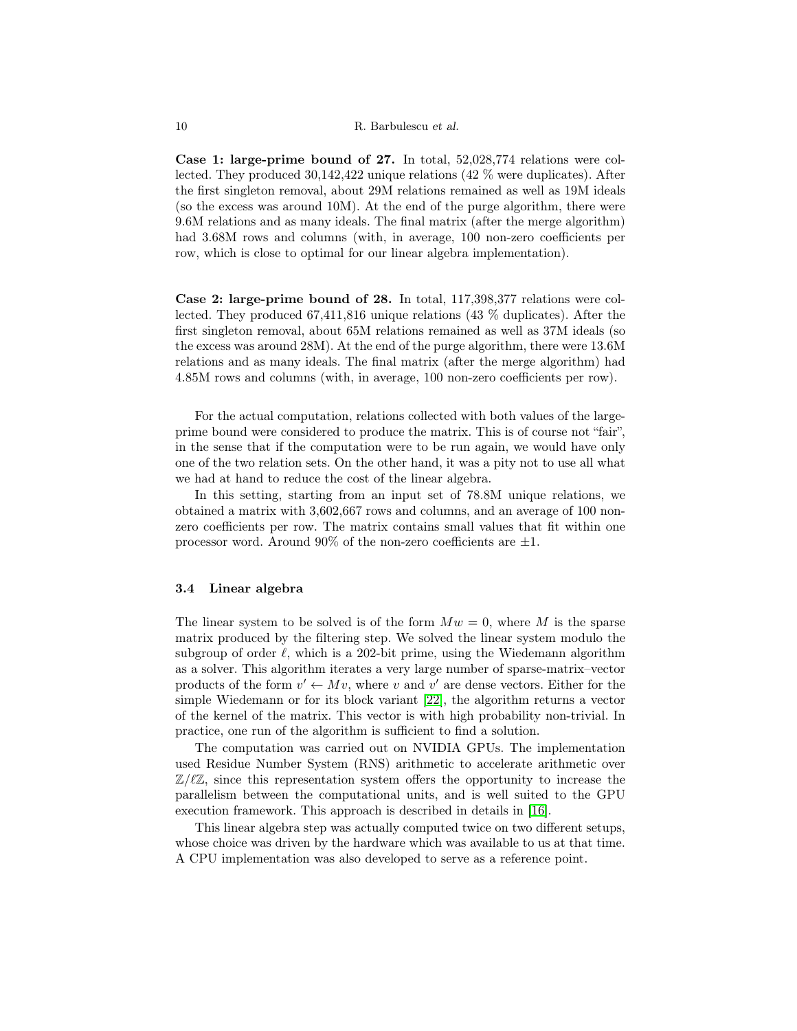Case 1: large-prime bound of 27. In total, 52,028,774 relations were collected. They produced 30,142,422 unique relations (42 % were duplicates). After the first singleton removal, about 29M relations remained as well as 19M ideals (so the excess was around 10M). At the end of the purge algorithm, there were 9.6M relations and as many ideals. The final matrix (after the merge algorithm) had  $3.68M$  rows and columns (with, in average, 100 non-zero coefficients per row, which is close to optimal for our linear algebra implementation).

Case 2: large-prime bound of 28. In total, 117,398,377 relations were collected. They produced 67,411,816 unique relations (43 % duplicates). After the first singleton removal, about 65M relations remained as well as 37M ideals (so the excess was around 28M). At the end of the purge algorithm, there were 13.6M relations and as many ideals. The final matrix (after the merge algorithm) had 4.85M rows and columns (with, in average, 100 non-zero coefficients per row).

For the actual computation, relations collected with both values of the largeprime bound were considered to produce the matrix. This is of course not "fair", in the sense that if the computation were to be run again, we would have only one of the two relation sets. On the other hand, it was a pity not to use all what we had at hand to reduce the cost of the linear algebra.

In this setting, starting from an input set of 78.8M unique relations, we obtained a matrix with 3,602,667 rows and columns, and an average of 100 nonzero coefficients per row. The matrix contains small values that fit within one processor word. Around 90% of the non-zero coefficients are  $\pm 1$ .

## <span id="page-9-0"></span>3.4 Linear algebra

The linear system to be solved is of the form  $Mw = 0$ , where M is the sparse matrix produced by the filtering step. We solved the linear system modulo the subgroup of order  $\ell$ , which is a 202-bit prime, using the Wiedemann algorithm as a solver. This algorithm iterates a very large number of sparse-matrix–vector products of the form  $v' \leftarrow Mv$ , where v and v' are dense vectors. Either for the simple Wiedemann or for its block variant [\[22\]](#page-17-4), the algorithm returns a vector of the kernel of the matrix. This vector is with high probability non-trivial. In practice, one run of the algorithm is sufficient to find a solution.

The computation was carried out on NVIDIA GPUs. The implementation used Residue Number System (RNS) arithmetic to accelerate arithmetic over  $\mathbb{Z}/\ell\mathbb{Z}$ , since this representation system offers the opportunity to increase the parallelism between the computational units, and is well suited to the GPU execution framework. This approach is described in details in [\[16\]](#page-16-12).

This linear algebra step was actually computed twice on two different setups, whose choice was driven by the hardware which was available to us at that time. A CPU implementation was also developed to serve as a reference point.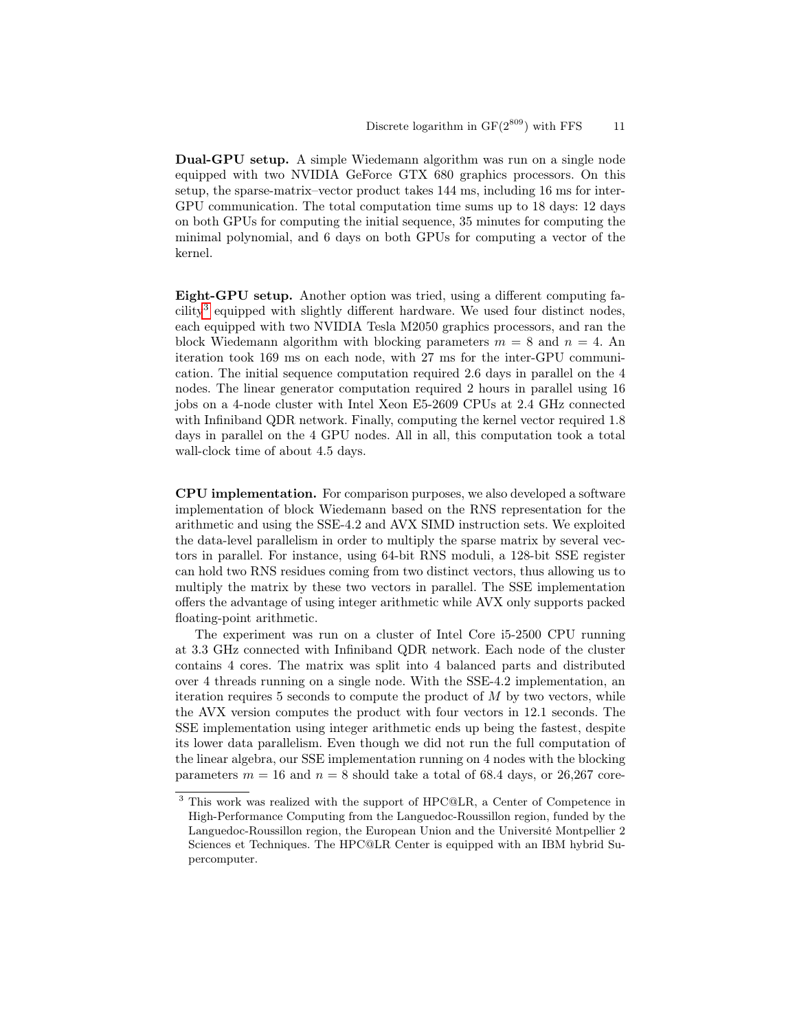Dual-GPU setup. A simple Wiedemann algorithm was run on a single node equipped with two NVIDIA GeForce GTX 680 graphics processors. On this setup, the sparse-matrix–vector product takes 144 ms, including 16 ms for inter-GPU communication. The total computation time sums up to 18 days: 12 days on both GPUs for computing the initial sequence, 35 minutes for computing the minimal polynomial, and 6 days on both GPUs for computing a vector of the kernel.

Eight-GPU setup. Another option was tried, using a different computing fa-cility<sup>[3](#page-10-0)</sup> equipped with slightly different hardware. We used four distinct nodes, each equipped with two NVIDIA Tesla M2050 graphics processors, and ran the block Wiedemann algorithm with blocking parameters  $m = 8$  and  $n = 4$ . An iteration took 169 ms on each node, with 27 ms for the inter-GPU communication. The initial sequence computation required 2.6 days in parallel on the 4 nodes. The linear generator computation required 2 hours in parallel using 16 jobs on a 4-node cluster with Intel Xeon E5-2609 CPUs at 2.4 GHz connected with Infiniband QDR network. Finally, computing the kernel vector required 1.8 days in parallel on the 4 GPU nodes. All in all, this computation took a total wall-clock time of about 4.5 days.

CPU implementation. For comparison purposes, we also developed a software implementation of block Wiedemann based on the RNS representation for the arithmetic and using the SSE-4.2 and AVX SIMD instruction sets. We exploited the data-level parallelism in order to multiply the sparse matrix by several vectors in parallel. For instance, using 64-bit RNS moduli, a 128-bit SSE register can hold two RNS residues coming from two distinct vectors, thus allowing us to multiply the matrix by these two vectors in parallel. The SSE implementation offers the advantage of using integer arithmetic while AVX only supports packed floating-point arithmetic.

The experiment was run on a cluster of Intel Core i5-2500 CPU running at 3.3 GHz connected with Infiniband QDR network. Each node of the cluster contains 4 cores. The matrix was split into 4 balanced parts and distributed over 4 threads running on a single node. With the SSE-4.2 implementation, an iteration requires 5 seconds to compute the product of  $M$  by two vectors, while the AVX version computes the product with four vectors in 12.1 seconds. The SSE implementation using integer arithmetic ends up being the fastest, despite its lower data parallelism. Even though we did not run the full computation of the linear algebra, our SSE implementation running on 4 nodes with the blocking parameters  $m = 16$  and  $n = 8$  should take a total of 68.4 days, or 26,267 core-

<span id="page-10-0"></span><sup>3</sup> This work was realized with the support of HPC@LR, a Center of Competence in High-Performance Computing from the Languedoc-Roussillon region, funded by the Languedoc-Roussillon region, the European Union and the Université Montpellier 2 Sciences et Techniques. The HPC@LR Center is equipped with an IBM hybrid Supercomputer.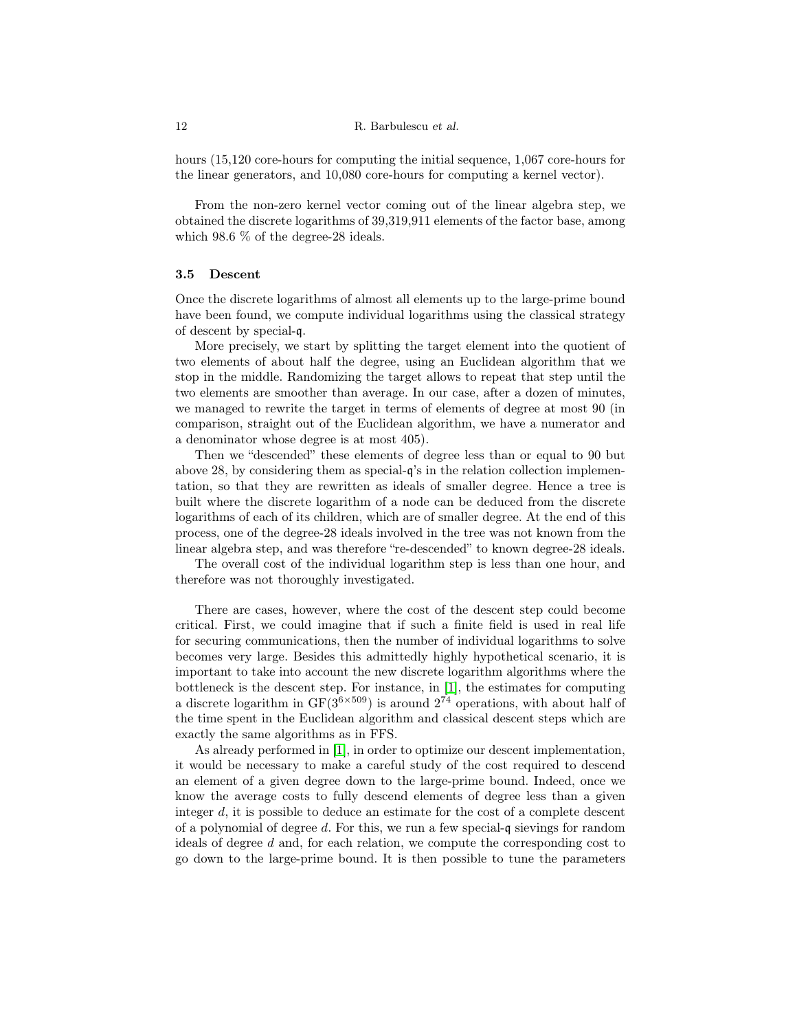hours (15,120 core-hours for computing the initial sequence, 1,067 core-hours for the linear generators, and 10,080 core-hours for computing a kernel vector).

From the non-zero kernel vector coming out of the linear algebra step, we obtained the discrete logarithms of 39,319,911 elements of the factor base, among which  $98.6\%$  of the degree-28 ideals.

#### 3.5 Descent

Once the discrete logarithms of almost all elements up to the large-prime bound have been found, we compute individual logarithms using the classical strategy of descent by special-q.

More precisely, we start by splitting the target element into the quotient of two elements of about half the degree, using an Euclidean algorithm that we stop in the middle. Randomizing the target allows to repeat that step until the two elements are smoother than average. In our case, after a dozen of minutes, we managed to rewrite the target in terms of elements of degree at most 90 (in comparison, straight out of the Euclidean algorithm, we have a numerator and a denominator whose degree is at most 405).

Then we "descended" these elements of degree less than or equal to 90 but above 28, by considering them as special-q's in the relation collection implementation, so that they are rewritten as ideals of smaller degree. Hence a tree is built where the discrete logarithm of a node can be deduced from the discrete logarithms of each of its children, which are of smaller degree. At the end of this process, one of the degree-28 ideals involved in the tree was not known from the linear algebra step, and was therefore "re-descended" to known degree-28 ideals.

The overall cost of the individual logarithm step is less than one hour, and therefore was not thoroughly investigated.

There are cases, however, where the cost of the descent step could become critical. First, we could imagine that if such a finite field is used in real life for securing communications, then the number of individual logarithms to solve becomes very large. Besides this admittedly highly hypothetical scenario, it is important to take into account the new discrete logarithm algorithms where the bottleneck is the descent step. For instance, in [\[1\]](#page-15-1), the estimates for computing a discrete logarithm in  $GF(3^{6\times509})$  is around  $2^{74}$  operations, with about half of the time spent in the Euclidean algorithm and classical descent steps which are exactly the same algorithms as in FFS.

As already performed in [\[1\]](#page-15-1), in order to optimize our descent implementation, it would be necessary to make a careful study of the cost required to descend an element of a given degree down to the large-prime bound. Indeed, once we know the average costs to fully descend elements of degree less than a given integer  $d$ , it is possible to deduce an estimate for the cost of a complete descent of a polynomial of degree d. For this, we run a few special-q sievings for random ideals of degree d and, for each relation, we compute the corresponding cost to go down to the large-prime bound. It is then possible to tune the parameters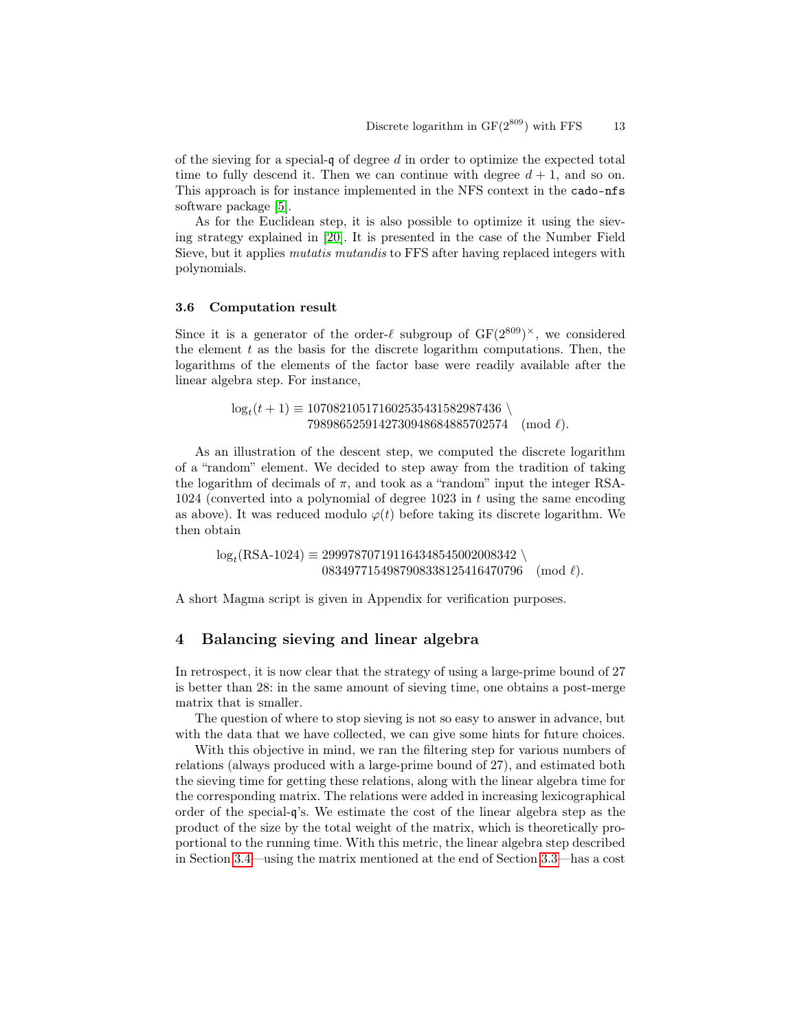of the sieving for a special-q of degree  $d$  in order to optimize the expected total time to fully descend it. Then we can continue with degree  $d + 1$ , and so on. This approach is for instance implemented in the NFS context in the cado-nfs software package [\[5\]](#page-16-15).

As for the Euclidean step, it is also possible to optimize it using the sieving strategy explained in [\[20\]](#page-16-16). It is presented in the case of the Number Field Sieve, but it applies *mutatis mutandis* to FFS after having replaced integers with polynomials.

#### 3.6 Computation result

Since it is a generator of the order- $\ell$  subgroup of  $GF(2^{809})^{\times}$ , we considered the element  $t$  as the basis for the discrete logarithm computations. Then, the logarithms of the elements of the factor base were readily available after the linear algebra step. For instance,

> $\log_t(t+1) \equiv 107082105171602535431582987436$  $7989865259142730948684885702574 \pmod{\ell}.$

As an illustration of the descent step, we computed the discrete logarithm of a "random" element. We decided to step away from the tradition of taking the logarithm of decimals of  $\pi$ , and took as a "random" input the integer RSA-1024 (converted into a polynomial of degree 1023 in  $t$  using the same encoding as above). It was reduced modulo  $\varphi(t)$  before taking its discrete logarithm. We then obtain

 $\log_t(\text{RSA-1024}) \equiv 299978707191164348545002008342 \setminus$  $0834977154987908338125416470796 \pmod{\ell}.$ 

A short Magma script is given in Appendix for verification purposes.

# <span id="page-12-0"></span>4 Balancing sieving and linear algebra

In retrospect, it is now clear that the strategy of using a large-prime bound of 27 is better than 28: in the same amount of sieving time, one obtains a post-merge matrix that is smaller.

The question of where to stop sieving is not so easy to answer in advance, but with the data that we have collected, we can give some hints for future choices.

With this objective in mind, we ran the filtering step for various numbers of relations (always produced with a large-prime bound of 27), and estimated both the sieving time for getting these relations, along with the linear algebra time for the corresponding matrix. The relations were added in increasing lexicographical order of the special-q's. We estimate the cost of the linear algebra step as the product of the size by the total weight of the matrix, which is theoretically proportional to the running time. With this metric, the linear algebra step described in Section [3.4—](#page-9-0)using the matrix mentioned at the end of Section [3.3—](#page-8-1)has a cost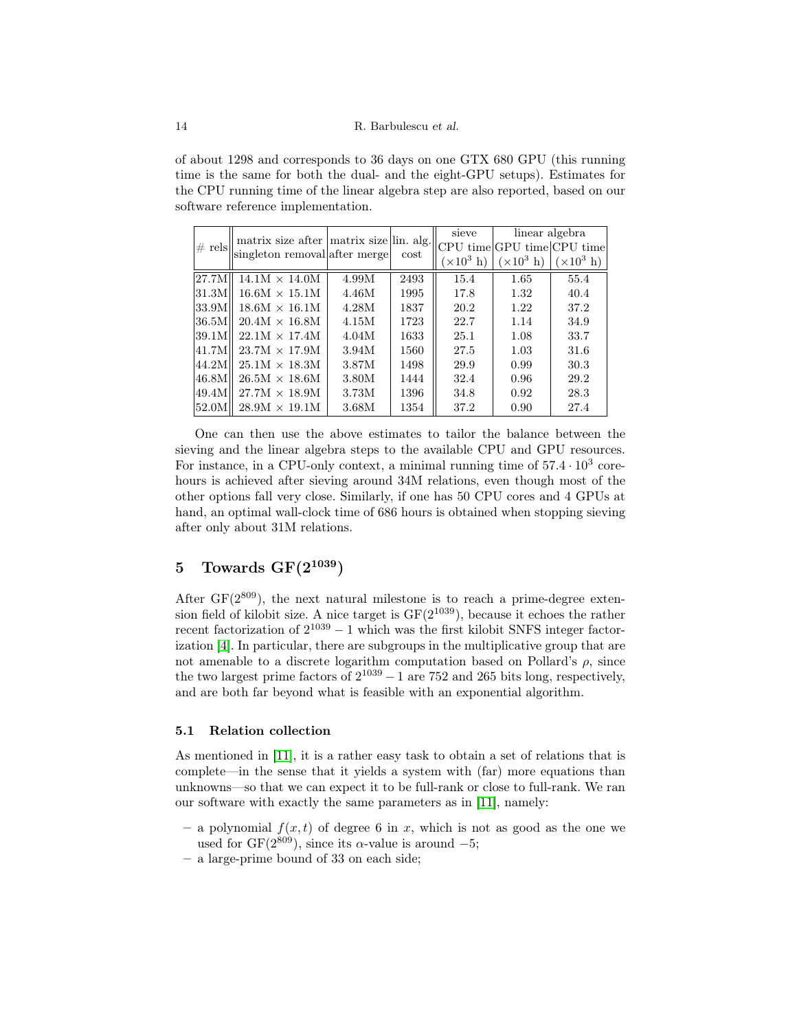of about 1298 and corresponds to 36 days on one GTX 680 GPU (this running time is the same for both the dual- and the eight-GPU setups). Estimates for the CPU running time of the linear algebra step are also reported, based on our software reference implementation.

| $\#$ rels | matrix size after matrix size lin. alg. | singleton removal after merge | cost | sieve                     | linear algebra             |                   |
|-----------|-----------------------------------------|-------------------------------|------|---------------------------|----------------------------|-------------------|
|           |                                         |                               |      |                           | CPU time GPU time CPU time |                   |
|           |                                         |                               |      | $(\times 10^3 \text{ h})$ | $(\times 10^3 \text{ h})$  | $(\times 10^3$ h) |
| 27.7M     | $14.1M \times 14.0M$                    | 4.99M                         | 2493 | 15.4                      | 1.65                       | 55.4              |
| 31.3M     | $16.6M \times 15.1M$                    | 4.46M                         | 1995 | 17.8                      | 1.32                       | 40.4              |
| 33.9M     | $18.6M \times 16.1M$                    | 4.28M                         | 1837 | 20.2                      | 1.22                       | 37.2              |
| 36.5M     | $20.4M \times 16.8M$                    | 4.15M                         | 1723 | 22.7                      | 1.14                       | 34.9              |
| 39.1M     | $22.1M \times 17.4M$                    | 4.04M                         | 1633 | 25.1                      | 1.08                       | 33.7              |
| 41.7M     | $23.7M \times 17.9M$                    | 3.94M                         | 1560 | 27.5                      | 1.03                       | 31.6              |
| 44.2M     | $25.1M \times 18.3M$                    | 3.87M                         | 1498 | 29.9                      | 0.99                       | 30.3              |
| 46.8M     | $26.5M \times 18.6M$                    | 3.80M                         | 1444 | 32.4                      | 0.96                       | 29.2              |
| 49.4M     | $27.7M \times 18.9M$                    | 3.73M                         | 1396 | 34.8                      | 0.92                       | 28.3              |
| 52.0M     | $28.9M \times 19.1M$                    | 3.68M                         | 1354 | 37.2                      | 0.90                       | 27.4              |

One can then use the above estimates to tailor the balance between the sieving and the linear algebra steps to the available CPU and GPU resources. For instance, in a CPU-only context, a minimal running time of  $57.4 \cdot 10^3$  corehours is achieved after sieving around 34M relations, even though most of the other options fall very close. Similarly, if one has 50 CPU cores and 4 GPUs at hand, an optimal wall-clock time of 686 hours is obtained when stopping sieving after only about 31M relations.

# <span id="page-13-0"></span>5 Towards  $GF(2^{1039})$

After  $GF(2^{809})$ , the next natural milestone is to reach a prime-degree extension field of kilobit size. A nice target is  $GF(2^{1039})$ , because it echoes the rather recent factorization of  $2^{1039} - 1$  which was the first kilobit SNFS integer factorization [\[4\]](#page-16-17). In particular, there are subgroups in the multiplicative group that are not amenable to a discrete logarithm computation based on Pollard's  $\rho$ , since the two largest prime factors of  $2^{1039} - 1$  are 752 and 265 bits long, respectively, and are both far beyond what is feasible with an exponential algorithm.

## 5.1 Relation collection

As mentioned in [\[11\]](#page-16-11), it is a rather easy task to obtain a set of relations that is complete—in the sense that it yields a system with (far) more equations than unknowns—so that we can expect it to be full-rank or close to full-rank. We ran our software with exactly the same parameters as in [\[11\]](#page-16-11), namely:

- a polynomial  $f(x, t)$  of degree 6 in x, which is not as good as the one we used for GF( $2^{809}$ ), since its  $\alpha$ -value is around  $-5$ ;
- a large-prime bound of 33 on each side;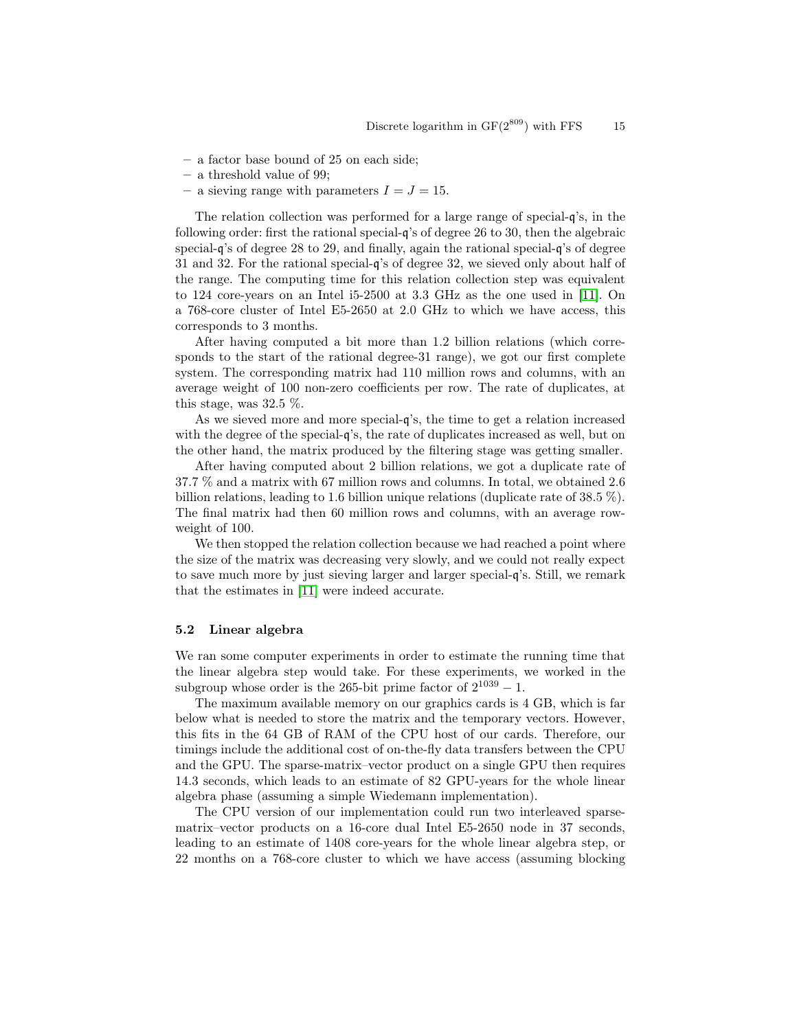- a factor base bound of 25 on each side;
- a threshold value of 99;
- a sieving range with parameters  $I = J = 15$ .

The relation collection was performed for a large range of special-q's, in the following order: first the rational special-q's of degree 26 to 30, then the algebraic special-q's of degree 28 to 29, and finally, again the rational special-q's of degree 31 and 32. For the rational special-q's of degree 32, we sieved only about half of the range. The computing time for this relation collection step was equivalent to 124 core-years on an Intel i5-2500 at 3.3 GHz as the one used in [\[11\]](#page-16-11). On a 768-core cluster of Intel E5-2650 at 2.0 GHz to which we have access, this corresponds to 3 months.

After having computed a bit more than 1.2 billion relations (which corresponds to the start of the rational degree-31 range), we got our first complete system. The corresponding matrix had 110 million rows and columns, with an average weight of 100 non-zero coefficients per row. The rate of duplicates, at this stage, was 32.5 %.

As we sieved more and more special-q's, the time to get a relation increased with the degree of the special-q's, the rate of duplicates increased as well, but on the other hand, the matrix produced by the filtering stage was getting smaller.

After having computed about 2 billion relations, we got a duplicate rate of 37.7 % and a matrix with 67 million rows and columns. In total, we obtained 2.6 billion relations, leading to 1.6 billion unique relations (duplicate rate of 38.5 %). The final matrix had then 60 million rows and columns, with an average rowweight of 100.

We then stopped the relation collection because we had reached a point where the size of the matrix was decreasing very slowly, and we could not really expect to save much more by just sieving larger and larger special-q's. Still, we remark that the estimates in [\[11\]](#page-16-11) were indeed accurate.

## 5.2 Linear algebra

We ran some computer experiments in order to estimate the running time that the linear algebra step would take. For these experiments, we worked in the subgroup whose order is the 265-bit prime factor of  $2^{1039} - 1$ .

The maximum available memory on our graphics cards is 4 GB, which is far below what is needed to store the matrix and the temporary vectors. However, this fits in the 64 GB of RAM of the CPU host of our cards. Therefore, our timings include the additional cost of on-the-fly data transfers between the CPU and the GPU. The sparse-matrix–vector product on a single GPU then requires 14.3 seconds, which leads to an estimate of 82 GPU-years for the whole linear algebra phase (assuming a simple Wiedemann implementation).

The CPU version of our implementation could run two interleaved sparsematrix–vector products on a 16-core dual Intel E5-2650 node in 37 seconds, leading to an estimate of 1408 core-years for the whole linear algebra step, or 22 months on a 768-core cluster to which we have access (assuming blocking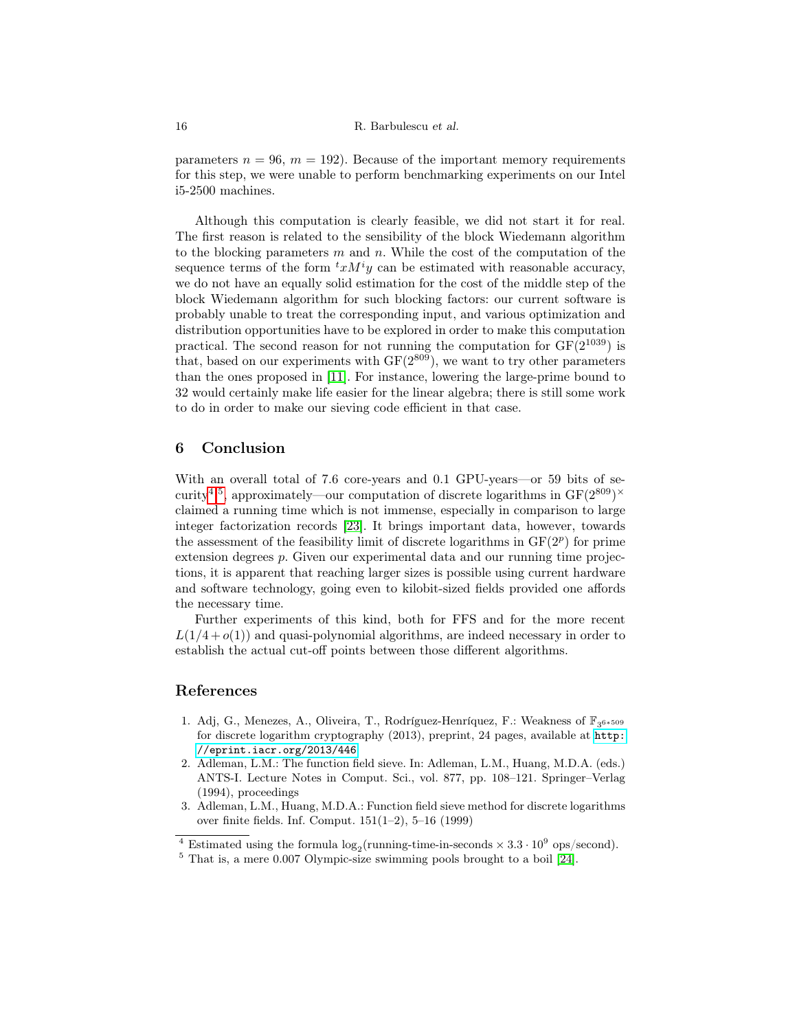#### 16 R. Barbulescu et al.

parameters  $n = 96$ ,  $m = 192$ ). Because of the important memory requirements for this step, we were unable to perform benchmarking experiments on our Intel i5-2500 machines.

Although this computation is clearly feasible, we did not start it for real. The first reason is related to the sensibility of the block Wiedemann algorithm to the blocking parameters  $m$  and  $n$ . While the cost of the computation of the sequence terms of the form  ${}^t x M^i y$  can be estimated with reasonable accuracy, we do not have an equally solid estimation for the cost of the middle step of the block Wiedemann algorithm for such blocking factors: our current software is probably unable to treat the corresponding input, and various optimization and distribution opportunities have to be explored in order to make this computation practical. The second reason for not running the computation for  $GF(2^{1039})$  is that, based on our experiments with  $GF(2^{809})$ , we want to try other parameters than the ones proposed in [\[11\]](#page-16-11). For instance, lowering the large-prime bound to 32 would certainly make life easier for the linear algebra; there is still some work to do in order to make our sieving code efficient in that case.

# 6 Conclusion

With an overall total of 7.6 core-years and 0.1 GPU-years—or 59 bits of se-curity<sup>[4,](#page-15-3)[5](#page-15-4)</sup>, approximately—our computation of discrete logarithms in  $GF(2^{809})^{\times}$ claimed a running time which is not immense, especially in comparison to large integer factorization records [\[23\]](#page-17-3). It brings important data, however, towards the assessment of the feasibility limit of discrete logarithms in  $GF(2<sup>p</sup>)$  for prime extension degrees p. Given our experimental data and our running time projections, it is apparent that reaching larger sizes is possible using current hardware and software technology, going even to kilobit-sized fields provided one affords the necessary time.

Further experiments of this kind, both for FFS and for the more recent  $L(1/4+o(1))$  and quasi-polynomial algorithms, are indeed necessary in order to establish the actual cut-off points between those different algorithms.

# References

- <span id="page-15-1"></span>1. Adj, G., Menezes, A., Oliveira, T., Rodríguez-Henríquez, F.: Weakness of  $\mathbb{F}_{3^{6*509}}$ for discrete logarithm cryptography (2013), preprint, 24 pages, available at [http:](http://eprint.iacr.org/2013/446) [//eprint.iacr.org/2013/446](http://eprint.iacr.org/2013/446)
- <span id="page-15-0"></span>2. Adleman, L.M.: The function field sieve. In: Adleman, L.M., Huang, M.D.A. (eds.) ANTS-I. Lecture Notes in Comput. Sci., vol. 877, pp. 108–121. Springer–Verlag (1994), proceedings
- <span id="page-15-2"></span>3. Adleman, L.M., Huang, M.D.A.: Function field sieve method for discrete logarithms over finite fields. Inf. Comput. 151(1–2), 5–16 (1999)

<span id="page-15-3"></span><sup>&</sup>lt;sup>4</sup> Estimated using the formula  $log_2$ (running-time-in-seconds  $\times 3.3 \cdot 10^9$  ops/second).

<span id="page-15-4"></span> $5$  That is, a mere 0.007 Olympic-size swimming pools brought to a boil [\[24\]](#page-17-5).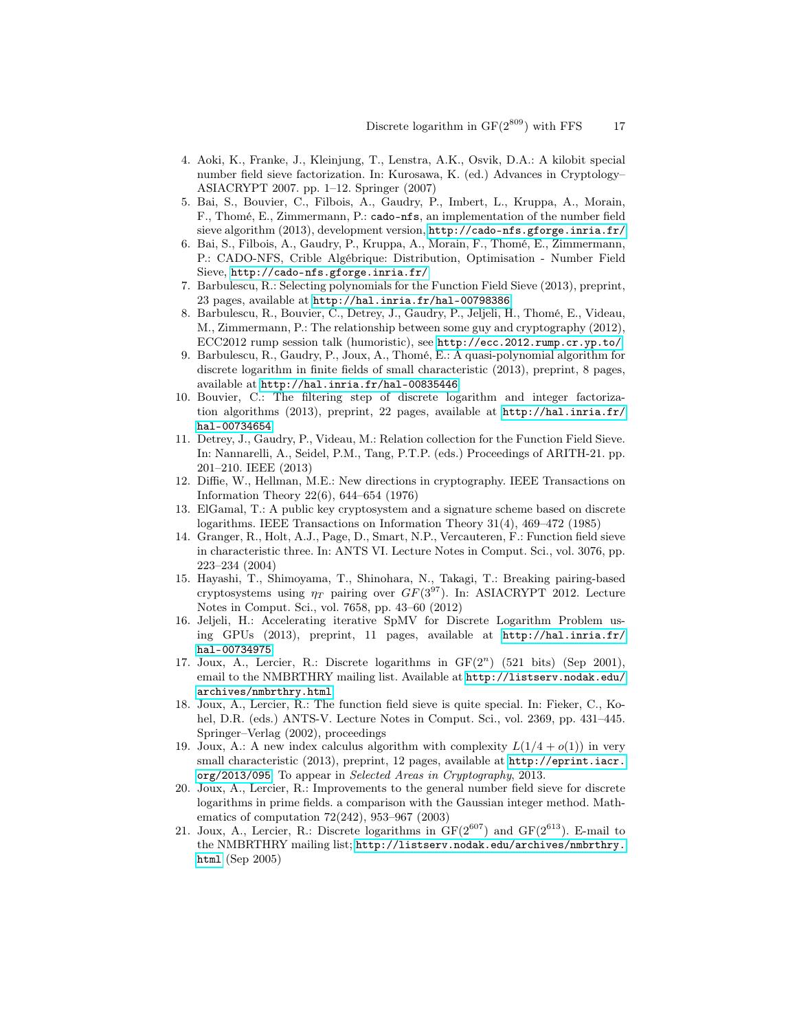- <span id="page-16-17"></span>4. Aoki, K., Franke, J., Kleinjung, T., Lenstra, A.K., Osvik, D.A.: A kilobit special number field sieve factorization. In: Kurosawa, K. (ed.) Advances in Cryptology– ASIACRYPT 2007. pp. 1–12. Springer (2007)
- <span id="page-16-15"></span>5. Bai, S., Bouvier, C., Filbois, A., Gaudry, P., Imbert, L., Kruppa, A., Morain, F., Thomé, E., Zimmermann, P.: cado-nfs, an implementation of the number field sieve algorithm (2013), development version, <http://cado-nfs.gforge.inria.fr/>
- <span id="page-16-8"></span>6. Bai, S., Filbois, A., Gaudry, P., Kruppa, A., Morain, F., Thomé, E., Zimmermann, P.: CADO-NFS, Crible Algébrique: Distribution, Optimisation - Number Field Sieve, <http://cado-nfs.gforge.inria.fr/>
- <span id="page-16-9"></span>7. Barbulescu, R.: Selecting polynomials for the Function Field Sieve (2013), preprint, 23 pages, available at <http://hal.inria.fr/hal-00798386>
- <span id="page-16-5"></span>8. Barbulescu, R., Bouvier, C., Detrey, J., Gaudry, P., Jeljeli, H., Thomé, E., Videau, M., Zimmermann, P.: The relationship between some guy and cryptography (2012), ECC2012 rump session talk (humoristic), see <http://ecc.2012.rump.cr.yp.to/>
- <span id="page-16-7"></span>9. Barbulescu, R., Gaudry, P., Joux, A., Thomé, E.: A quasi-polynomial algorithm for discrete logarithm in finite fields of small characteristic (2013), preprint, 8 pages, available at <http://hal.inria.fr/hal-00835446>
- <span id="page-16-10"></span>10. Bouvier, C.: The filtering step of discrete logarithm and integer factorization algorithms (2013), preprint, 22 pages, available at [http://hal.inria.fr/](http://hal.inria.fr/hal-00734654) [hal-00734654](http://hal.inria.fr/hal-00734654)
- <span id="page-16-11"></span>11. Detrey, J., Gaudry, P., Videau, M.: Relation collection for the Function Field Sieve. In: Nannarelli, A., Seidel, P.M., Tang, P.T.P. (eds.) Proceedings of ARITH-21. pp. 201–210. IEEE (2013)
- <span id="page-16-0"></span>12. Diffie, W., Hellman, M.E.: New directions in cryptography. IEEE Transactions on Information Theory 22(6), 644–654 (1976)
- <span id="page-16-1"></span>13. ElGamal, T.: A public key cryptosystem and a signature scheme based on discrete logarithms. IEEE Transactions on Information Theory 31(4), 469–472 (1985)
- <span id="page-16-13"></span>14. Granger, R., Holt, A.J., Page, D., Smart, N.P., Vercauteren, F.: Function field sieve in characteristic three. In: ANTS VI. Lecture Notes in Comput. Sci., vol. 3076, pp. 223–234 (2004)
- <span id="page-16-14"></span>15. Hayashi, T., Shimoyama, T., Shinohara, N., Takagi, T.: Breaking pairing-based cryptosystems using  $\eta_T$  pairing over  $GF(3^{97})$ . In: ASIACRYPT 2012. Lecture Notes in Comput. Sci., vol. 7658, pp. 43–60 (2012)
- <span id="page-16-12"></span>16. Jeljeli, H.: Accelerating iterative SpMV for Discrete Logarithm Problem using GPUs (2013), preprint, 11 pages, available at [http://hal.inria.fr/](http://hal.inria.fr/hal-00734975) [hal-00734975](http://hal.inria.fr/hal-00734975)
- <span id="page-16-2"></span>17. Joux, A., Lercier, R.: Discrete logarithms in  $GF(2<sup>n</sup>)$  (521 bits) (Sep 2001), email to the NMBRTHRY mailing list. Available at  $http://listserv.nodak.edu/$ [archives/nmbrthry.html](http://listserv.nodak.edu/archives/nmbrthry.html)
- <span id="page-16-3"></span>18. Joux, A., Lercier, R.: The function field sieve is quite special. In: Fieker, C., Kohel, D.R. (eds.) ANTS-V. Lecture Notes in Comput. Sci., vol. 2369, pp. 431–445. Springer–Verlag (2002), proceedings
- <span id="page-16-6"></span>19. Joux, A.: A new index calculus algorithm with complexity  $L(1/4 + o(1))$  in very small characteristic (2013), preprint, 12 pages, available at [http://eprint.iacr.](http://eprint.iacr.org/2013/095) [org/2013/095](http://eprint.iacr.org/2013/095). To appear in Selected Areas in Cryptography, 2013.
- <span id="page-16-16"></span>20. Joux, A., Lercier, R.: Improvements to the general number field sieve for discrete logarithms in prime fields. a comparison with the Gaussian integer method. Mathematics of computation 72(242), 953–967 (2003)
- <span id="page-16-4"></span>21. Joux, A., Lercier, R.: Discrete logarithms in  $GF(2^{607})$  and  $GF(2^{613})$ . E-mail to the NMBRTHRY mailing list; [http://listserv.nodak.edu/archives/nmbrthry.](http://listserv.nodak.edu/archives/nmbrthry.html) [html](http://listserv.nodak.edu/archives/nmbrthry.html) (Sep 2005)